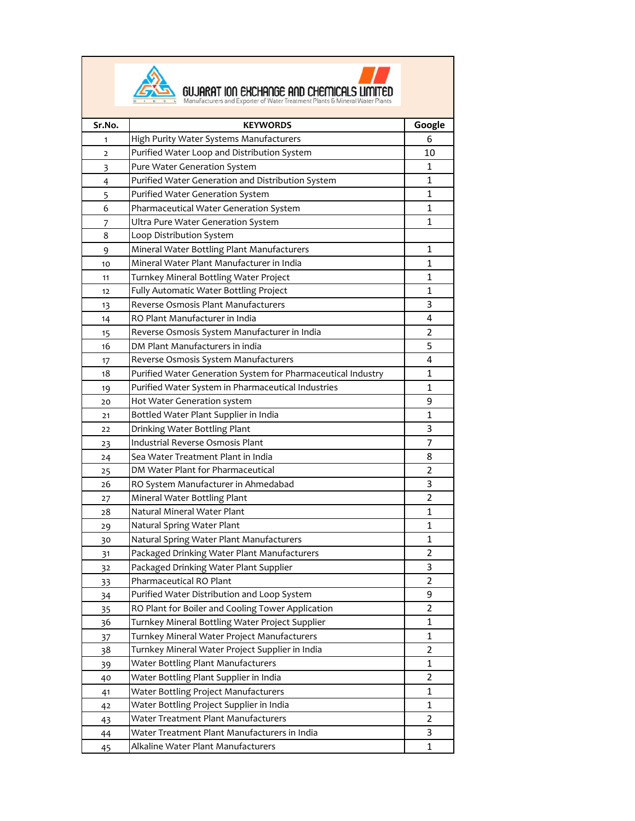



**Sr.No. KEYWORDS Google** 1 High Purity Water Systems Manufacturers 6 2 Purified Water Loop and Distribution System 10 3 Pure Water Generation System 1 4 Purified Water Generation and Distribution System 1 1 5 Purified Water Generation System 1 1 6 Pharmaceutical Water Generation System 1 1 7 Ultra Pure Water Generation System 1 8 Loop Distribution System 9 Mineral Water Bottling Plant Manufacturers 1 10 Mineral Water Plant Manufacturer in India 1 11 Turnkey Mineral Bottling Water Project 1 12 Fully Automatic Water Bottling Project 1 1 13 Reverse Osmosis Plant Manufacturers **1988** and 1988 Reverse of the S 14 RO Plant Manufacturer in India 14 AM 2012 12:00 12:00 12:00 12:00 12:00 12:00 12:00 12:00 12:00 12:00 12:0 15 Reverse Osmosis System Manufacturer in India 16 DM Plant Manufacturers in india 1988 1991 1992 1994 17 Reverse Osmosis System Manufacturers **1988** Reverse Osmosis System Manufacturers 18 Purified Water Generation System for Pharmaceutical Industry | 1 19 Purified Water System in Pharmaceutical Industries 1 20 Hot Water Generation system and the state of the state of the state of the state of the state of the state o 21 Bottled Water Plant Supplier in India 1 22 Drinking Water Bottling Plant 3 23 Industrial Reverse Osmosis Plant 7 and 7 and 7 and 7 and 7 and 7 and 7 and 7 and 7 and 7 and 7 and 7 and 7 and 7 and 7 and 7 and 7 and 7 and 7 and 7 and 7 and 7 and 7 and 7 and 7 and 7 and 7 and 7 and 7 and 7 and 7 and 24 Sea Water Treatment Plant in India **8** Sea Water Treatment Plant in India 25 DM Water Plant for Pharmaceutical 2 26 RO System Manufacturer in Ahmedabad and 3 27 Mineral Water Bottling Plant 2 28 Natural Mineral Water Plant 1 29 Natural Spring Water Plant 1 30 Natural Spring Water Plant Manufacturers 1 31 Packaged Drinking Water Plant Manufacturers 2 32 Packaged Drinking Water Plant Supplier 3 33 Pharmaceutical RO Plant 2 34 Purified Water Distribution and Loop System **19 Contains 19 Contains 19 Contains 1** Contains 19 Co 35 RO Plant for Boiler and Cooling Tower Application 2 36 Turnkey Mineral Bottling Water Project Supplier 1 37 Turnkey Mineral Water Project Manufacturers 1 38 Turnkey Mineral Water Project Supplier in India 2 39 Water Bottling Plant Manufacturers 1 1 1 1 40 Water Bottling Plant Supplier in India 2 41 Water Bottling Project Manufacturers 1 42 Water Bottling Project Supplier in India 1 43 Water Treatment Plant Manufacturers 2 44 Water Treatment Plant Manufacturers in India 3 45 Alkaline Water Plant Manufacturers 1 1 1 1 1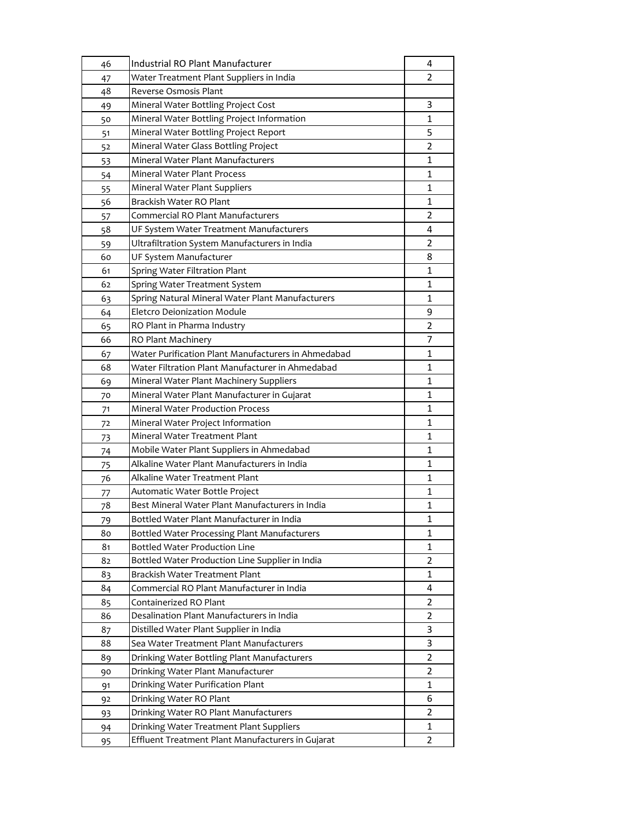| 46 | Industrial RO Plant Manufacturer                    | 4              |
|----|-----------------------------------------------------|----------------|
| 47 | Water Treatment Plant Suppliers in India            | 2              |
| 48 | Reverse Osmosis Plant                               |                |
| 49 | Mineral Water Bottling Project Cost                 | 3              |
| 50 | Mineral Water Bottling Project Information          | 1              |
| 51 | Mineral Water Bottling Project Report               | 5              |
| 52 | Mineral Water Glass Bottling Project                | $\overline{2}$ |
| 53 | Mineral Water Plant Manufacturers                   | 1              |
| 54 | <b>Mineral Water Plant Process</b>                  | $\mathbf{1}$   |
| 55 | Mineral Water Plant Suppliers                       | 1              |
| 56 | Brackish Water RO Plant                             | 1              |
| 57 | Commercial RO Plant Manufacturers                   | $\overline{2}$ |
| 58 | UF System Water Treatment Manufacturers             | 4              |
| 59 | Ultrafiltration System Manufacturers in India       | 2              |
| 60 | UF System Manufacturer                              | 8              |
| 61 | Spring Water Filtration Plant                       | 1              |
| 62 | Spring Water Treatment System                       | 1              |
| 63 | Spring Natural Mineral Water Plant Manufacturers    | $\mathbf{1}$   |
| 64 | <b>Eletcro Deionization Module</b>                  | 9              |
| 65 | RO Plant in Pharma Industry                         | $\overline{2}$ |
| 66 | RO Plant Machinery                                  | 7              |
| 67 | Water Purification Plant Manufacturers in Ahmedabad | 1              |
| 68 | Water Filtration Plant Manufacturer in Ahmedabad    | 1              |
| 69 | Mineral Water Plant Machinery Suppliers             | 1              |
| 70 | Mineral Water Plant Manufacturer in Gujarat         | 1              |
| 71 | <b>Mineral Water Production Process</b>             | 1              |
| 72 | Mineral Water Project Information                   | 1              |
| 73 | Mineral Water Treatment Plant                       | 1              |
| 74 | Mobile Water Plant Suppliers in Ahmedabad           | $\mathbf{1}$   |
| 75 | Alkaline Water Plant Manufacturers in India         | 1              |
| 76 | Alkaline Water Treatment Plant                      | 1              |
| 77 | Automatic Water Bottle Project                      | 1              |
| 78 | Best Mineral Water Plant Manufacturers in India     | 1              |
| 79 | Bottled Water Plant Manufacturer in India           | 1              |
| 80 | Bottled Water Processing Plant Manufacturers        | 1              |
| 81 | <b>Bottled Water Production Line</b>                | 1              |
| 82 | Bottled Water Production Line Supplier in India     | 2              |
| 83 | Brackish Water Treatment Plant                      | 1              |
| 84 | Commercial RO Plant Manufacturer in India           | 4              |
| 85 | Containerized RO Plant                              | $\overline{2}$ |
| 86 | Desalination Plant Manufacturers in India           | 2              |
| 87 | Distilled Water Plant Supplier in India             | 3              |
| 88 | Sea Water Treatment Plant Manufacturers             | 3              |
| 89 | Drinking Water Bottling Plant Manufacturers         | $\overline{2}$ |
| 90 | Drinking Water Plant Manufacturer                   | 2              |
| 91 | Drinking Water Purification Plant                   | 1              |
| 92 | Drinking Water RO Plant                             | 6              |
| 93 | Drinking Water RO Plant Manufacturers               | $\overline{2}$ |
| 94 | Drinking Water Treatment Plant Suppliers            | 1              |
| 95 | Effluent Treatment Plant Manufacturers in Gujarat   | 2              |